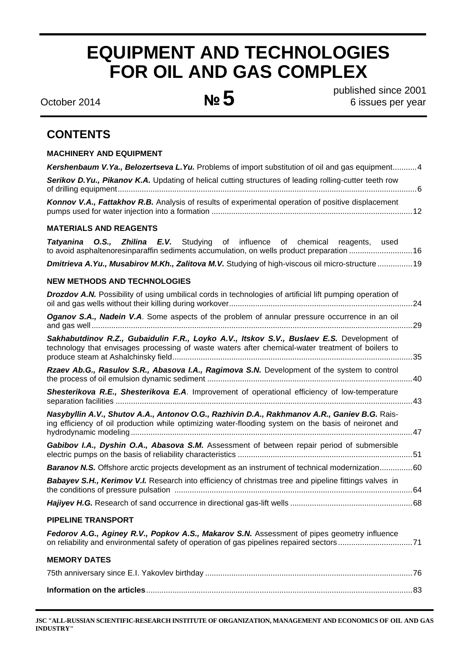# **EQUIPMENT AND TECHNOLOGIES FOR OIL AND GAS COMPLEX**

published since 2001 October 2014 **№5** 6 issues per year

# **CONTENTS**

| <b>MACHINERY AND EQUIPMENT</b>                                                                                                                                                                       |
|------------------------------------------------------------------------------------------------------------------------------------------------------------------------------------------------------|
| Kershenbaum V. Ya., Belozertseva L. Yu. Problems of import substitution of oil and gas equipment4                                                                                                    |
| Serikov D.Yu., Pikanov K.A. Updating of helical cutting structures of leading rolling-cutter teeth row                                                                                               |
| Konnov V.A., Fattakhov R.B. Analysis of results of experimental operation of positive displacement                                                                                                   |
| <b>MATERIALS AND REAGENTS</b>                                                                                                                                                                        |
| Tatyanina O.S., Zhilina E.V. Studying of influence of chemical reagents, used<br>to avoid asphaltenoresinparaffin sediments accumulation, on wells product preparation 16                            |
| Dmitrieva A.Yu., Musabirov M.Kh., Zalitova M.V. Studying of high-viscous oil micro-structure  19                                                                                                     |
| <b>NEW METHODS AND TECHNOLOGIES</b>                                                                                                                                                                  |
| <b>Drozdov A.N.</b> Possibility of using umbilical cords in technologies of artificial lift pumping operation of                                                                                     |
| Oganov S.A., Nadein V.A. Some aspects of the problem of annular pressure occurrence in an oil                                                                                                        |
| Sakhabutdinov R.Z., Gubaidulin F.R., Loyko A.V., Itskov S.V., Buslaev E.S. Development of<br>technology that envisages processing of waste waters after chemical-water treatment of boilers to       |
| Rzaev Ab.G., Rasulov S.R., Abasova I.A., Ragimova S.N. Development of the system to control                                                                                                          |
| Shesterikova R.E., Shesterikova E.A. Improvement of operational efficiency of low-temperature                                                                                                        |
| Nasybyllin A.V., Shutov A.A., Antonov O.G., Razhivin D.A., Rakhmanov A.R., Ganiev B.G. Rais-<br>ing efficiency of oil production while optimizing water-flooding system on the basis of neironet and |
| Gabibov I.A., Dyshin O.A., Abasova S.M. Assessment of between repair period of submersible                                                                                                           |
| <b>Baranov N.S.</b> Offshore arctic projects development as an instrument of technical modernization60                                                                                               |
| Babayev S.H., Kerimov V.I. Research into efficiency of christmas tree and pipeline fittings valves in                                                                                                |
|                                                                                                                                                                                                      |
| <b>PIPELINE TRANSPORT</b>                                                                                                                                                                            |
| Fedorov A.G., Aginey R.V., Popkov A.S., Makarov S.N. Assessment of pipes geometry influence<br>on reliability and environmental safety of operation of gas pipelines repaired sectors71              |
| <b>MEMORY DATES</b>                                                                                                                                                                                  |
|                                                                                                                                                                                                      |
|                                                                                                                                                                                                      |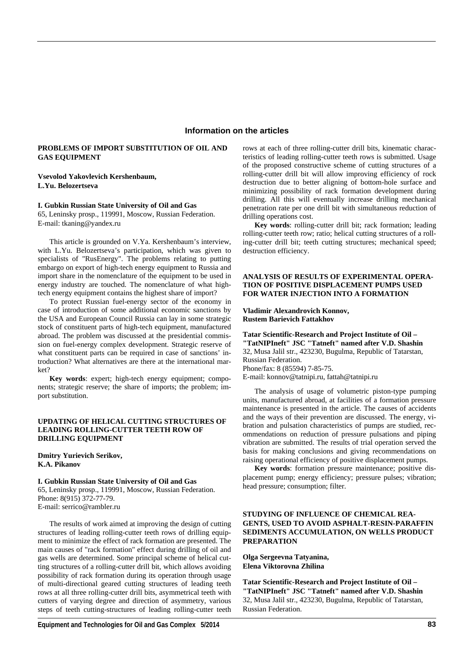# **Information on the articles**

# **PROBLEMS OF IMPORT SUBSTITUTION OF OIL AND GAS EQUIPMENT**

# **Vsevolod Yakovlevich Kershenbaum, L.Yu. Belozertseva**

#### **I. Gubkin Russian State University of Oil and Gas**

65, Leninsky prosp., 119991, Moscow, Russian Federation. E-mail: tkaning@yandex.ru

This article is grounded on V.Ya. Kershenbaum's interview, with L.Yu. Belozertseva's participation, which was given to specialists of "RusEnergy". The problems relating to putting embargo on export of high-tech energy equipment to Russia and import share in the nomenclature of the equipment to be used in energy industry are touched. The nomenclature of what hightech energy equipment contains the highest share of import?

To protect Russian fuel-energy sector of the economy in case of introduction of some additional economic sanctions by the USA and European Council Russia can lay in some strategic stock of constituent parts of high-tech equipment, manufactured abroad. The problem was discussed at the presidential commission on fuel-energy complex development. Strategic reserve of what constituent parts can be required in case of sanctions' introduction? What alternatives are there at the international market?

**Key words**: expert; high-tech energy equipment; components; strategic reserve; the share of imports; the problem; import substitution.

# **UPDATING OF HELICAL CUTTING STRUCTURES OF LEADING ROLLING-CUTTER TEETH ROW OF DRILLING EQUIPMENT**

**Dmitry Yurievich Serikov, K.A. Pikanov**

# **I. Gubkin Russian State University of Oil and Gas**

65, Leninsky prosp., 119991, Moscow, Russian Federation. Phone: 8(915) 372-77-79. E-mail: serrico@rambler.ru

The results of work aimed at improving the design of cutting structures of leading rolling-cutter teeth rows of drilling equipment to minimize the effect of rack formation are presented. The main causes of "rack formation" effect during drilling of oil and gas wells are determined. Some principal scheme of helical cutting structures of a rolling-cutter drill bit, which allows avoiding possibility of rack formation during its operation through usage of multi-directional geared cutting structures of leading teeth rows at all three rolling-cutter drill bits, asymmetrical teeth with cutters of varying degree and direction of asymmetry, various steps of teeth cutting-structures of leading rolling-cutter teeth rows at each of three rolling-cutter drill bits, kinematic characteristics of leading rolling-cutter teeth rows is submitted. Usage of the proposed constructive scheme of cutting structures of a rolling-cutter drill bit will allow improving efficiency of rock destruction due to better aligning of bottom-hole surface and minimizing possibility of rack formation development during drilling. All this will eventually increase drilling mechanical penetration rate per one drill bit with simultaneous reduction of drilling operations cost.

**Key words**: rolling-cutter drill bit; rack formation; leading rolling-cutter teeth row; ratio; helical cutting structures of a rolling-cutter drill bit; teeth cutting structures; mechanical speed; destruction efficiency.

# **ANALYSIS OF RESULTS OF EXPERIMENTAL OPERA-TION OF POSITIVE DISPLACEMENT PUMPS USED FOR WATER INJECTION INTO A FORMATION**

#### **Vladimir Alexandrovich Konnov, Rustem Barievich Fattakhov**

**Tatar Scientific-Research and Project Institute of Oil – "TatNIPIneft" JSC "Tatneft" named after V.D. Shashin**  32, Musa Jalil str., 423230, Bugulma, Republic of Tatarstan, Russian Federation. Phone/fax: 8 (85594) 7-85-75. E-mail: konnov@tatnipi.ru, fattah@tatnipi.ru

The analysis of usage of volumetric piston-type pumping units, manufactured abroad, at facilities of a formation pressure maintenance is presented in the article. The causes of accidents and the ways of their prevention are discussed. The energy, vibration and pulsation characteristics of pumps are studied, recommendations on reduction of pressure pulsations and piping vibration are submitted. The results of trial operation served the basis for making conclusions and giving recommendations on

raising operational efficiency of positive displacement pumps. **Key words**: formation pressure maintenance; positive displacement pump; energy efficiency; pressure pulses; vibration; head pressure; consumption; filter.

# **STUDYING OF INFLUENCE OF CHEMICAL REA-GENTS, USED TO AVOID ASPHALT-RESIN-PARAFFIN SEDIMENTS ACCUMULATION, ON WELLS PRODUCT PREPARATION**

**Olga Sergeevna Tatyanina, Elena Viktorovna Zhilina** 

**Tatar Scientific-Research and Project Institute of Oil – "TatNIPIneft" JSC "Tatneft" named after V.D. Shashin**  32, Musa Jalil str., 423230, Bugulma, Republic of Tatarstan, Russian Federation.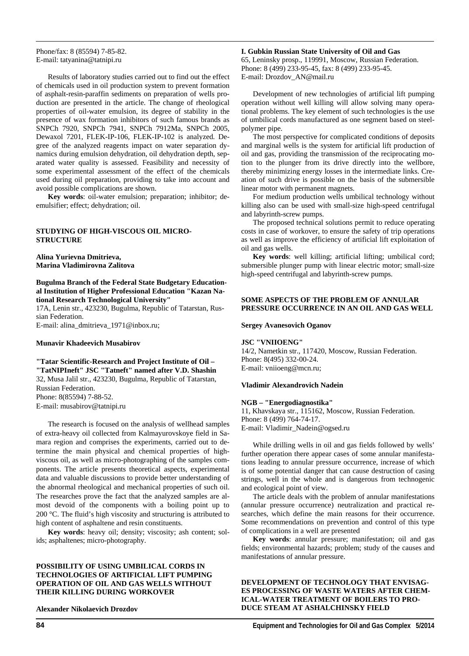Phone/fax: 8 (85594) 7-85-82. E-mail: tatyanina@tatnipi.ru

Results of laboratory studies carried out to find out the effect of chemicals used in oil production system to prevent formation of asphalt-resin-paraffin sediments on preparation of wells production are presented in the article. The change of rheological properties of oil-water emulsion, its degree of stability in the presence of wax formation inhibitors of such famous brands as SNPCh 7920, SNPCh 7941, SNPCh 7912Ma, SNPCh 2005, Dewaxol 7201, FLEK-IP-106, FLEK-IP-102 is analyzed. Degree of the analyzed reagents impact on water separation dynamics during emulsion dehydration, oil dehydration depth, separated water quality is assessed. Feasibility and necessity of some experimental assessment of the effect of the chemicals used during oil preparation, providing to take into account and avoid possible complications are shown.

**Key words**: oil-water emulsion; preparation; inhibitor; deemulsifier; effect; dehydration; oil.

# **STUDYING OF HIGH-VISCOUS OIL MICRO-STRUCTURE**

**Alina Yurievna Dmitrieva, Marina Vladimirovna Zalitova** 

# **Bugulma Branch of the Federal State Budgetary Educational Institution of Higher Professional Education "Kazan National Research Technological University"**

17A, Lenin str., 423230, Bugulma, Republic of Tatarstan, Russian Federation. E-mail: alina\_dmitrieva\_1971@inbox.ru;

#### **Munavir Khadeevich Musabirov**

**"Tatar Scientific-Research and Project Institute of Oil – "TatNIPIneft" JSC "Tatneft" named after V.D. Shashin**  32, Musa Jalil str., 423230, Bugulma, Republic of Tatarstan, Russian Federation. Phone: 8(85594) 7-88-52. E-mail: musabirov@tatnipi.ru

The research is focused on the analysis of wellhead samples of extra-heavy oil collected from Kalmayurovskoye field in Samara region and comprises the experiments, carried out to determine the main physical and chemical properties of highviscous oil, as well as micro-photographing of the samples components. The article presents theoretical aspects, experimental data and valuable discussions to provide better understanding of the abnormal rheological and mechanical properties of such oil. The researches prove the fact that the analyzed samples are almost devoid of the components with a boiling point up to 200 °C. The fluid's high viscosity and structuring is attributed to high content of asphaltene and resin constituents.

**Key words**: heavy oil; density; viscosity; ash content; solids; asphaltenes; micro-photography.

# **POSSIBILITY OF USING UMBILICAL CORDS IN TECHNOLOGIES OF ARTIFICIAL LIFT PUMPING OPERATION OF OIL AND GAS WELLS WITHOUT THEIR KILLING DURING WORKOVER**

**Alexander Nikolaevich Drozdov** 

**I. Gubkin Russian State University of Oil and Gas**  65, Leninsky prosp., 119991, Moscow, Russian Federation.

Phone: 8 (499) 233-95-45, fax: 8 (499) 233-95-45. E-mail: Drozdov\_AN@mail.ru

Development of new technologies of artificial lift pumping operation without well killing will allow solving many operational problems. The key element of such technologies is the use of umbilical cords manufactured as one segment based on steelpolymer pipe.

The most perspective for complicated conditions of deposits and marginal wells is the system for artificial lift production of oil and gas, providing the transmission of the reciprocating motion to the plunger from its drive directly into the wellbore, thereby minimizing energy losses in the intermediate links. Creation of such drive is possible on the basis of the submersible linear motor with permanent magnets.

For medium production wells umbilical technology without killing also can be used with small-size high-speed centrifugal and labyrinth-screw pumps.

The proposed technical solutions permit to reduce operating costs in case of workover, to ensure the safety of trip operations as well as improve the efficiency of artificial lift exploitation of oil and gas wells.

**Key words**: well killing; artificial lifting; umbilical cord; submersible plunger pump with linear electric motor; small-size high-speed centrifugal and labyrinth-screw pumps.

# **SOME ASPECTS OF THE PROBLEM OF ANNULAR PRESSURE OCCURRENCE IN AN OIL AND GAS WELL**

#### **Sergey Avanesovich Oganov**

#### **JSC "VNIIOENG"**

14/2, Nametkin str., 117420, Moscow, Russian Federation. Phone: 8(495) 332-00-24. E-mail: vniioeng@mcn.ru;

# **Vladimir Alexandrovich Nadein**

# **NGB – "Energodiagnostika"**

11, Khavskaya str., 115162, Moscow, Russian Federation. Phone: 8 (499) 764-74-17. E-mail: Vladimir\_Nadein@ogsed.ru

While drilling wells in oil and gas fields followed by wells' further operation there appear cases of some annular manifestations leading to annular pressure occurrence, increase of which is of some potential danger that can cause destruction of casing strings, well in the whole and is dangerous from technogenic and ecological point of view.

The article deals with the problem of annular manifestations (annular pressure occurrence) neutralization and practical researches, which define the main reasons for their occurrence. Some recommendations on prevention and control of this type of complications in a well are presented

**Key words**: annular pressure; manifestation; oil and gas fields; environmental hazards; problem; study of the causes and manifestations of annular pressure.

# **DEVELOPMENT OF TECHNOLOGY THAT ENVISAG-ES PROCESSING OF WASTE WATERS AFTER CHEM-ICAL-WATER TREATMENT OF BOILERS TO PRO-DUCE STEAM AT ASHALCHINSKY FIELD**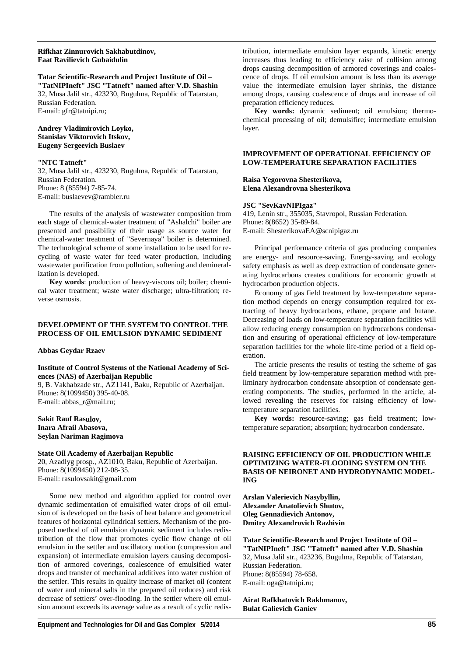# **Rifkhat Zinnurovich Sakhabutdinov, Faat Ravilievich Gubaidulin**

# **Tatar Scientific-Research and Project Institute of Oil –**

**"TatNIPIneft" JSC "Tatneft" named after V.D. Shashin**  32, Musa Jalil str., 423230, Bugulma, Republic of Tatarstan, Russian Federation. E-mail: gfr@tatnipi.ru;

# **Andrey Vladimirovich Loyko, Stanislav Viktorovich Itskov, Eugeny Sergeevich Buslaev**

# **"NTC Tatneft"**

32, Musa Jalil str., 423230, Bugulma, Republic of Tatarstan, Russian Federation. Phone: 8 (85594) 7-85-74. E-mail: buslaevev@rambler.ru

The results of the analysis of wastewater composition from each stage of chemical-water treatment of "Ashalchi" boiler are presented and possibility of their usage as source water for chemical-water treatment of "Severnaya" boiler is determined. The technological scheme of some installation to be used for recycling of waste water for feed water production, including wastewater purification from pollution, softening and demineralization is developed.

**Key words**: production of heavy-viscous oil; boiler; chemical water treatment; waste water discharge; ultra-filtration; reverse osmosis.

# **DEVELOPMENT OF THE SYSTEM TO CONTROL THE PROCESS OF OIL EMULSION DYNAMIC SEDIMENT**

#### **Abbas Geydar Rzaev**

# **Institute of Control Systems of the National Academy of Sciences (NAS) of Azerbaijan Republic**

9, B. Vakhabzade str., AZ1141, Baku, Republic of Azerbaijan. Phone: 8(1099450) 395-40-08. E-mail: abbas\_r@mail.ru;

**Sakit Rauf Rasulov, Inara Afrail Abasova, Seylan Nariman Ragimova** 

# **State Oil Academy of Azerbaijan Republic**

20, Azadlyg prosp., AZ1010, Baku, Republic of Azerbaijan. Phone: 8(1099450) 212-08-35. Е-mail: rasulovsakit@gmail.com

Some new method and algorithm applied for control over dynamic sedimentation of emulsified water drops of oil emulsion of is developed on the basis of heat balance and geometrical features of horizontal cylindrical settlers. Mechanism of the proposed method of oil emulsion dynamic sediment includes redistribution of the flow that promotes cyclic flow change of oil emulsion in the settler and oscillatory motion (compression and expansion) of intermediate emulsion layers causing decomposition of armored coverings, coalescence of emulsified water drops and transfer of mechanical additives into water cushion of the settler. This results in quality increase of market oil (content of water and mineral salts in the prepared oil reduces) and risk decrease of settlers' over-flooding. In the settler where oil emulsion amount exceeds its average value as a result of cyclic redistribution, intermediate emulsion layer expands, kinetic energy increases thus leading to efficiency raise of collision among drops causing decomposition of armored coverings and coalescence of drops. If oil emulsion amount is less than its average value the intermediate emulsion layer shrinks, the distance among drops, causing coalescence of drops and increase of oil preparation efficiency reduces.

**Key words:** dynamic sediment; oil emulsion; thermochemical processing of oil; demulsifire; intermediate emulsion layer.

# **IMPROVEMENT OF OPERATIONAL EFFICIENCY OF LOW-TEMPERATURE SEPARATION FACILITIES**

#### **Raisa Yegorovna Shesterikova, Elena Alexandrovna Shesterikova**

#### **JSC "SevKavNIPIgaz"**

419, Lenin str., 355035, Stavropol, Russian Federation. Phone: 8(8652) 35-89-84. E-mail: ShesterikovaEA@scnipigaz.ru

Principal performance criteria of gas producing companies are energy- and resource-saving. Energy-saving and ecology safety emphasis as well as deep extraction of condensate generating hydrocarbons creates conditions for economic growth at hydrocarbon production objects.

Economy of gas field treatment by low-temperature separation method depends on energy consumption required for extracting of heavy hydrocarbons, ethane, propane and butane. Decreasing of loads on low-temperature separation facilities will allow reducing energy consumption on hydrocarbons condensation and ensuring of operational efficiency of low-temperature separation facilities for the whole life-time period of a field operation.

The article presents the results of testing the scheme of gas field treatment by low-temperature separation method with preliminary hydrocarbon condensate absorption of condensate generating components. The studies, performed in the article, allowed revealing the reserves for raising efficiency of lowtemperature separation facilities.

**Key words:** resource-saving; gas field treatment; lowtemperature separation; absorption; hydrocarbon condensate.

# **RAISING EFFICIENCY OF OIL PRODUCTION WHILE OPTIMIZING WATER-FLOODING SYSTEM ON THE BASIS OF NEIRONET AND HYDRODYNAMIC MODEL-ING**

**Arslan Valerievich Nasybyllin, Alexander Anatolievich Shutov, Oleg Gennadievich Antonov, Dmitry Alexandrovich Razhivin** 

**Tatar Scientific-Research and Project Institute of Oil – "TatNIPIneft" JSC "Tatneft" named after V.D. Shashin**  32, Musa Jalil str., 423236, Bugulma, Republic of Tatarstan, Russian Federation. Phone: 8(85594) 78-658. E-mail: oga@tatnipi.ru;

**Airat Rafkhatovich Rakhmanov, Bulat Galievich Ganiev**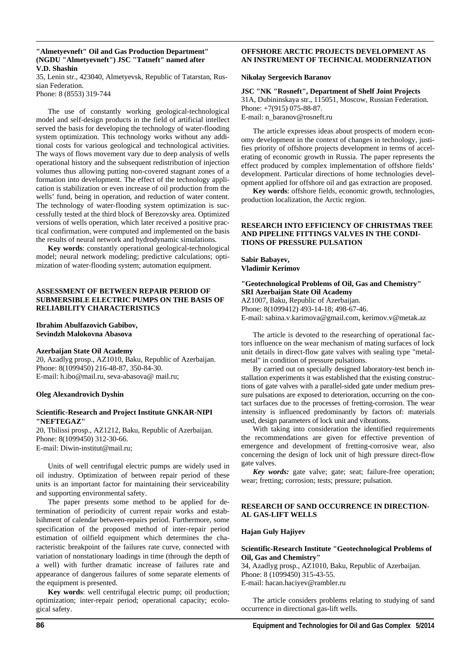#### **"Almetyevneft" Oil and Gas Production Department" (NGDU "Almetyevneft") JSC "Tatneft" named after V.D. Shashin**

35, Lenin str., 423040, Almetyevsk, Republic of Tatarstan, Russian Federation.

Phone: 8 (8553) 319-744

The use of constantly working geological-technological model and self-design products in the field of artificial intellect served the basis for developing the technology of water-flooding system optimization. This technology works without any additional costs for various geological and technological activities. The ways of flows movement vary due to deep analysis of wells operational history and the subsequent redistribution of injection volumes thus allowing putting non-covered stagnant zones of a formation into development. The effect of the technology application is stabilization or even increase of oil production from the wells' fund, being in operation, and reduction of water content. The technology of water-flooding system optimization is successfully tested at the third block of Berezovsky area. Optimized versions of wells operation, which later received a positive practical confirmation, were computed and implemented on the basis the results of neural network and hydrodynamic simulations.

**Key words**: constantly operational geological-technological model; neural network modeling; predictive calculations; optimization of water-flooding system; automation equipment.

# **ASSESSMENT OF BETWEEN REPAIR PERIOD OF SUBMERSIBLE ELECTRIC PUMPS ON THE BASIS OF RELIABILITY CHARACTERISTICS**

#### **Ibrahim Abulfazovich Gabibov, Sevindzh Malokovna Abasova**

#### **Azerbaijan State Oil Academy**

20, Azadlyg prosp., AZ1010, Baku, Republic of Azerbaijan. Phone: 8(1099450) 216-48-87, 350-84-30. E-mail: h.ibo@mail.ru, seva-abasova@ mail.ru;

#### **Oleg Alexandrovich Dyshin**

#### **Scientific-Research and Project Institute GNKAR-NIPI "NEFTEGAZ"**

20, Tbilissi prosp., AZ1212, Baku, Republic of Azerbaijan. Phone: 8(1099450) 312-30-66. E-mail: Diwin-institut@mail.ru;

Units of well centrifugal electric pumps are widely used in oil industry. Optimization of between repair period of these units is an important factor for maintaining their serviceability and supporting environmental safety.

The paper presents some method to be applied for determination of periodicity of current repair works and establsihment of calendar between-repairs period. Furthermore, some specification of the proposed method of inter-repair period estimation of oilfield equipment which determines the characteristic breakpoint of the failures rate curve, connected with variation of nonstationary loadings in time (through the depth of a well) with further dramatic increase of failures rate and appearance of dangerous failures of some separate elements of the equipment is presented.

**Key words**: well centrifugal electric pump; oil production; optimization; inter-repair period; operational capacity; ecological safety.

# **OFFSHORE ARCTIC PROJECTS DEVELOPMENT AS AN INSTRUMENT OF TECHNICAL MODERNIZATION**

#### **Nikolay Sergeevich Baranov**

**JSC "NK "Rosneft", Department of Shelf Joint Projects**  31A, Dubininskaya str., 115051, Moscow, Russian Federation. Phone: +7(915) 075-88-87. E-mail: n\_baranov@rosneft.ru

The article expresses ideas about prospects of modern economy development in the context of changes in technology, justifies priority of offshore projects development in terms of accelerating of economic growth in Russia. The paper represents the effect produced by complex implementation of offshore fields' development. Particular directions of home technologies development applied for offshore oil and gas extraction are proposed.

**Key words**: offshore fields, economic growth, technologies, production localization, the Arctic region.

# **RESEARCH INTO EFFICIENCY OF CHRISTMAS TREE AND PIPELINE FITTINGS VALVES IN THE CONDI-TIONS OF PRESSURE PULSATION**

**Sabir Babayev, Vladimir Kerimov** 

# **"Geotechnological Problems of Oil, Gas and Chemistry" SRI Azerbaijan State Oil Academy**

AZ1007, Baku, Republic of Azerbaijan. Phone: 8(1099412) 493-14-18; 498-67-46. E-mail: sabina.v.karimova@gmail.com, kerimov.v@metak.az

The article is devoted to the researching of operational factors influence on the wear mechanism of mating surfaces of lock unit details in direct-flow gate valves with sealing type "metalmetal" in condition of pressure pulsations.

By carried out on specially designed laboratory-test bench installation experiments it was established that the existing constructions of gate valves with a parallel-sided gate under medium pressure pulsations are exposed to deterioration, occurring on the contact surfaces due to the processes of fretting-corrosion. The wear intensity is influenced predominantly by factors of: materials used, design parameters of lock unit and vibrations.

With taking into consideration the identified requirements the recommendations are given for effective prevention of emergence and development of fretting-corrosive wear, also concerning the design of lock unit of high pressure direct-flow gate valves.

*Key words:* gate valve; gate; seat; failure-free operation; wear; fretting; corrosion; tests; pressure; pulsation.

# **RESEARCH OF SAND OCCURRENCE IN DIRECTION-AL GAS-LIFT WELLS**

#### **Hajan Guly Hajiyev**

#### **Scientific-Research Institute "Geotechnological Problems of Oil, Gas and Chemistry"**

34, Azadlyg prosp., AZ1010, Baku, Republic of Azerbaijan. Phone: 8 (1099450) 315-43-55. E-mail: hacan.haciyev@rambler.ru

The article considers problems relating to studying of sand occurrence in directional gas-lift wells.